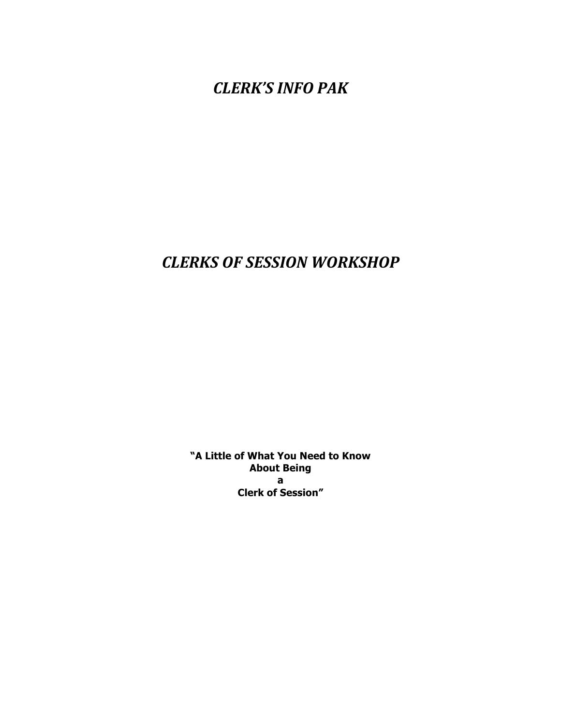**CLERK'S INFO PAK** 

# *CLERKS OF SESSION WORKSHOP*

**"A Little of What You Need to Know About Being a Clerk of Session"**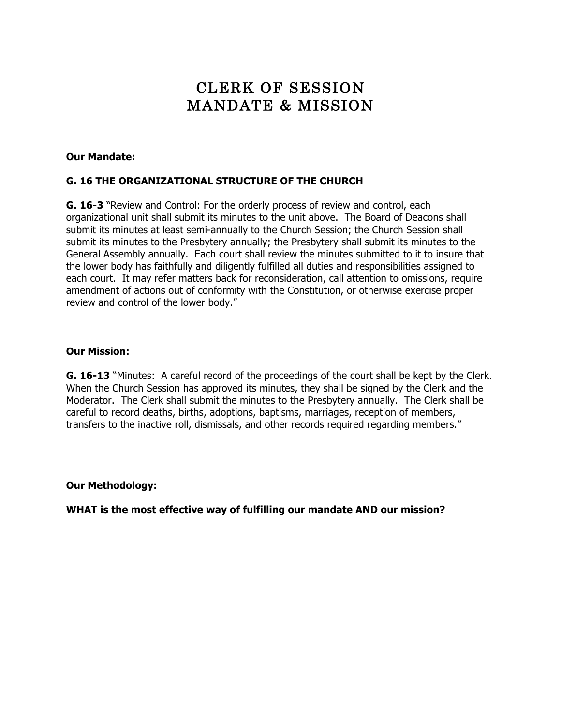# CLERK OF SESSION MANDATE & MISSION

#### **Our Mandate:**

#### **G. 16 THE ORGANIZATIONAL STRUCTURE OF THE CHURCH**

**G. 16-3** "Review and Control: For the orderly process of review and control, each organizational unit shall submit its minutes to the unit above. The Board of Deacons shall submit its minutes at least semi-annually to the Church Session; the Church Session shall submit its minutes to the Presbytery annually; the Presbytery shall submit its minutes to the General Assembly annually. Each court shall review the minutes submitted to it to insure that the lower body has faithfully and diligently fulfilled all duties and responsibilities assigned to each court. It may refer matters back for reconsideration, call attention to omissions, require amendment of actions out of conformity with the Constitution, or otherwise exercise proper review and control of the lower body."

#### **Our Mission:**

**G. 16-13** "Minutes: A careful record of the proceedings of the court shall be kept by the Clerk. When the Church Session has approved its minutes, they shall be signed by the Clerk and the Moderator. The Clerk shall submit the minutes to the Presbytery annually. The Clerk shall be careful to record deaths, births, adoptions, baptisms, marriages, reception of members, transfers to the inactive roll, dismissals, and other records required regarding members."

**Our Methodology:** 

**WHAT is the most effective way of fulfilling our mandate AND our mission?**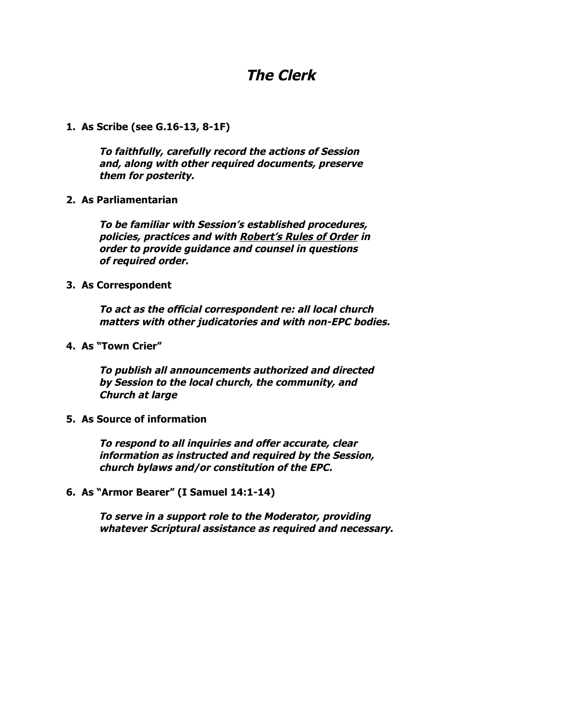## **The Clerk**

**1. As Scribe (see G.16-13, 8-1F)**

**To faithfully, carefully record the actions of Session and, along with other required documents, preserve them for posterity.**

**2. As Parliamentarian**

**To be familiar with Session's established procedures, policies, practices and with Robert's Rules of Order in order to provide guidance and counsel in questions of required order.**

**3. As Correspondent**

**To act as the official correspondent re: all local church matters with other judicatories and with non-EPC bodies.**

**4. As "Town Crier"**

**To publish all announcements authorized and directed by Session to the local church, the community, and Church at large**

**5. As Source of information**

**To respond to all inquiries and offer accurate, clear information as instructed and required by the Session, church bylaws and/or constitution of the EPC.**

**6. As "Armor Bearer" (I Samuel 14:1-14)**

**To serve in a support role to the Moderator, providing whatever Scriptural assistance as required and necessary.**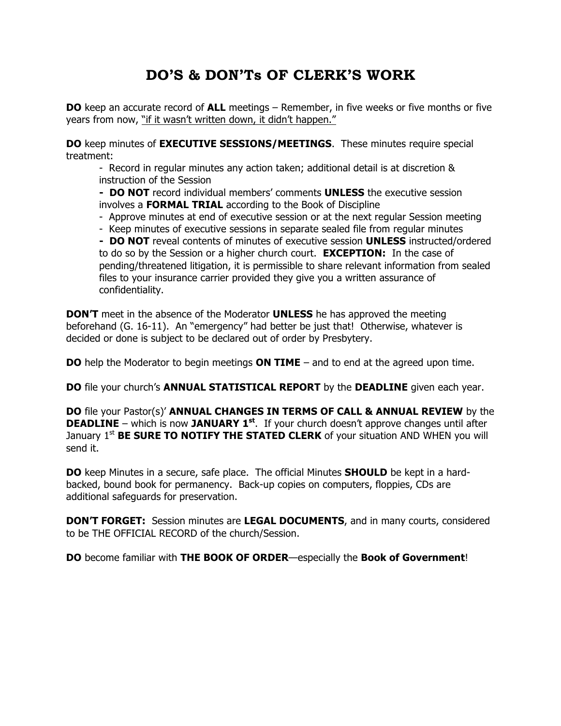# **DO'S & DON'Ts OF CLERK'S WORK**

**DO** keep an accurate record of **ALL** meetings – Remember, in five weeks or five months or five years from now, "if it wasn't written down, it didn't happen."

**DO** keep minutes of **EXECUTIVE SESSIONS/MEETINGS**. These minutes require special treatment:

- Record in regular minutes any action taken; additional detail is at discretion & instruction of the Session

**- DO NOT** record individual members' comments **UNLESS** the executive session involves a **FORMAL TRIAL** according to the Book of Discipline

- Approve minutes at end of executive session or at the next regular Session meeting

- Keep minutes of executive sessions in separate sealed file from regular minutes

**- DO NOT** reveal contents of minutes of executive session **UNLESS** instructed/ordered to do so by the Session or a higher church court. **EXCEPTION:** In the case of pending/threatened litigation, it is permissible to share relevant information from sealed files to your insurance carrier provided they give you a written assurance of confidentiality.

**DON'T** meet in the absence of the Moderator **UNLESS** he has approved the meeting beforehand (G. 16-11). An "emergency" had better be just that! Otherwise, whatever is decided or done is subject to be declared out of order by Presbytery.

**DO** help the Moderator to begin meetings **ON TIME** – and to end at the agreed upon time.

**DO** file your church's **ANNUAL STATISTICAL REPORT** by the **DEADLINE** given each year.

**DO** file your Pastor(s)' **ANNUAL CHANGES IN TERMS OF CALL & ANNUAL REVIEW** by the **DEADLINE** – which is now JANUARY 1<sup>st</sup>. If your church doesn't approve changes until after January 1<sup>st</sup> **BE SURE TO NOTIFY THE STATED CLERK** of your situation AND WHEN you will send it.

**DO** keep Minutes in a secure, safe place. The official Minutes **SHOULD** be kept in a hardbacked, bound book for permanency. Back-up copies on computers, floppies, CDs are additional safeguards for preservation.

**DON'T FORGET:** Session minutes are **LEGAL DOCUMENTS**, and in many courts, considered to be THE OFFICIAL RECORD of the church/Session.

**DO** become familiar with **THE BOOK OF ORDER**—especially the **Book of Government**!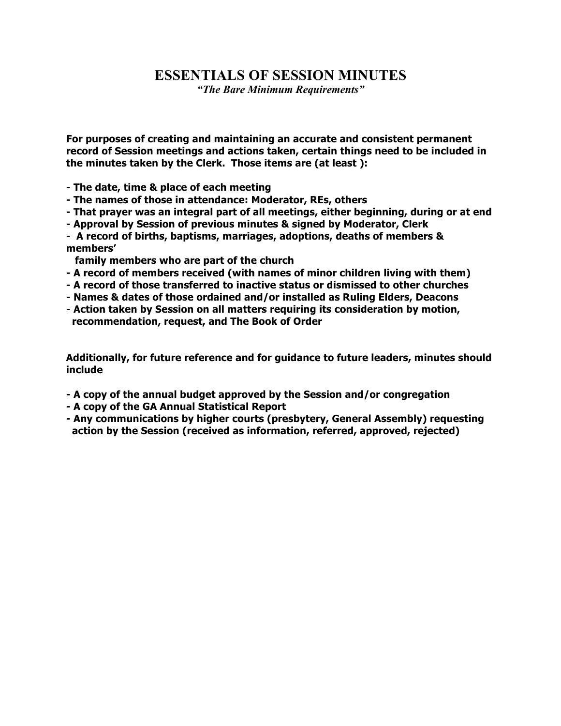## **ESSENTIALS OF SESSION MINUTES**

*"The Bare Minimum Requirements"*

**For purposes of creating and maintaining an accurate and consistent permanent record of Session meetings and actions taken, certain things need to be included in the minutes taken by the Clerk. Those items are (at least ):**

**- The date, time & place of each meeting**

- **- The names of those in attendance: Moderator, REs, others**
- **- That prayer was an integral part of all meetings, either beginning, during or at end**
- **- Approval by Session of previous minutes & signed by Moderator, Clerk**

**- A record of births, baptisms, marriages, adoptions, deaths of members & members'** 

 **family members who are part of the church**

- **- A record of members received (with names of minor children living with them)**
- **- A record of those transferred to inactive status or dismissed to other churches**
- **- Names & dates of those ordained and/or installed as Ruling Elders, Deacons**
- **- Action taken by Session on all matters requiring its consideration by motion, recommendation, request, and The Book of Order**

**Additionally, for future reference and for guidance to future leaders, minutes should include** 

- **- A copy of the annual budget approved by the Session and/or congregation**
- **- A copy of the GA Annual Statistical Report**
- **- Any communications by higher courts (presbytery, General Assembly) requesting action by the Session (received as information, referred, approved, rejected)**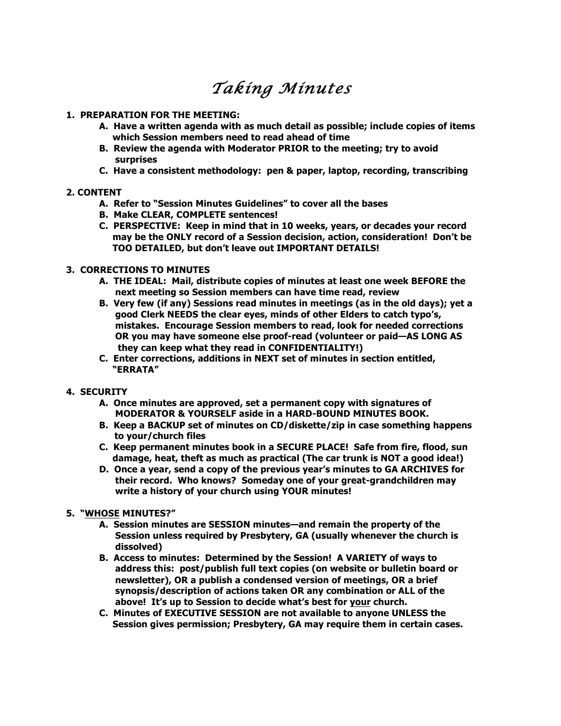# *Taking Minutes*

#### **1. PREPARATION FOR THE MEETING:**

- **A. Have a written agenda with as much detail as possible; include copies of items which Session members need to read ahead of time**
- **B. Review the agenda with Moderator PRIOR to the meeting; try to avoid surprises**
- **C. Have a consistent methodology: pen & paper, laptop, recording, transcribing**

#### **2. CONTENT**

- **A. Refer to "Session Minutes Guidelines" to cover all the bases**
- **B. Make CLEAR, COMPLETE sentences!**
- **C. PERSPECTIVE: Keep in mind that in 10 weeks, years, or decades your record may be the ONLY record of a Session decision, action, consideration! Don't be TOO DETAILED, but don't leave out IMPORTANT DETAILS!**

#### **3. CORRECTIONS TO MINUTES**

- **A. THE IDEAL: Mail, distribute copies of minutes at least one week BEFORE the next meeting so Session members can have time read, review**
- **B. Very few (if any) Sessions read minutes in meetings (as in the old days); yet a good Clerk NEEDS the clear eyes, minds of other Elders to catch typo's, mistakes. Encourage Session members to read, look for needed corrections OR you may have someone else proof-read (volunteer or paid—AS LONG AS they can keep what they read in CONFIDENTIALITY!)**
- **C. Enter corrections, additions in NEXT set of minutes in section entitled, "ERRATA"**

#### **4. SECURITY**

- **A. Once minutes are approved, set a permanent copy with signatures of MODERATOR & YOURSELF aside in a HARD-BOUND MINUTES BOOK.**
- **B. Keep a BACKUP set of minutes on CD/diskette/zip in case something happens to your/church files**
- **C. Keep permanent minutes book in a SECURE PLACE! Safe from fire, flood, sun damage, heat, theft as much as practical (The car trunk is NOT a good idea!)**
- **D. Once a year, send a copy of the previous year's minutes to GA ARCHIVES for their record. Who knows? Someday one of your great-grandchildren may write a history of your church using YOUR minutes!**

#### **5. "WHOSE MINUTES?"**

- **A. Session minutes are SESSION minutes—and remain the property of the Session unless required by Presbytery, GA (usually whenever the church is dissolved)**
- **B. Access to minutes: Determined by the Session! A VARIETY of ways to address this: post/publish full text copies (on website or bulletin board or newsletter), OR a publish a condensed version of meetings, OR a brief synopsis/description of actions taken OR any combination or ALL of the above! It's up to Session to decide what's best for your church.**
- **C. Minutes of EXECUTIVE SESSION are not available to anyone UNLESS the Session gives permission; Presbytery, GA may require them in certain cases.**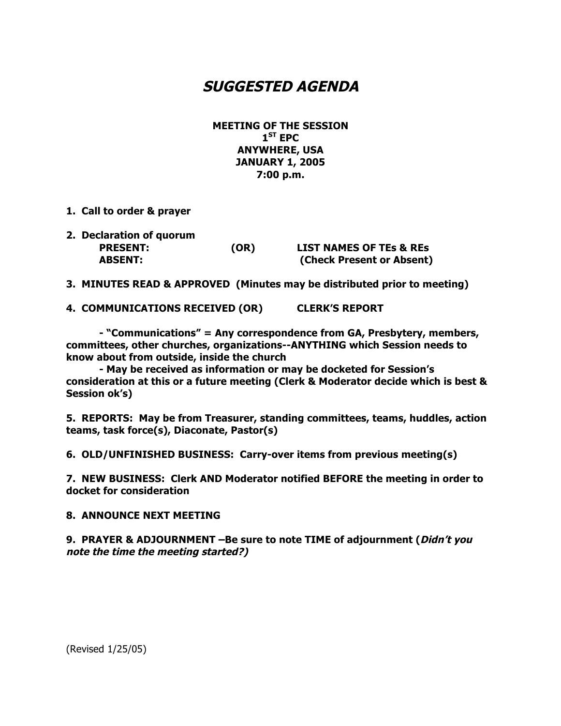## **SUGGESTED AGENDA**

**MEETING OF THE SESSION 1ST EPC ANYWHERE, USA JANUARY 1, 2005 7:00 p.m.**

- **1. Call to order & prayer**
- **2. Declaration of quorum PRESENT: (OR) LIST NAMES OF TEs & REs ABSENT: (Check Present or Absent)**

**3. MINUTES READ & APPROVED (Minutes may be distributed prior to meeting)**

**4. COMMUNICATIONS RECEIVED (OR) CLERK'S REPORT**

**- "Communications" = Any correspondence from GA, Presbytery, members, committees, other churches, organizations--ANYTHING which Session needs to know about from outside, inside the church**

**- May be received as information or may be docketed for Session's consideration at this or a future meeting (Clerk & Moderator decide which is best & Session ok's)**

**5. REPORTS: May be from Treasurer, standing committees, teams, huddles, action teams, task force(s), Diaconate, Pastor(s)**

**6. OLD/UNFINISHED BUSINESS: Carry-over items from previous meeting(s)**

**7. NEW BUSINESS: Clerk AND Moderator notified BEFORE the meeting in order to docket for consideration**

#### **8. ANNOUNCE NEXT MEETING**

**9. PRAYER & ADJOURNMENT –Be sure to note TIME of adjournment (Didn't you note the time the meeting started?)**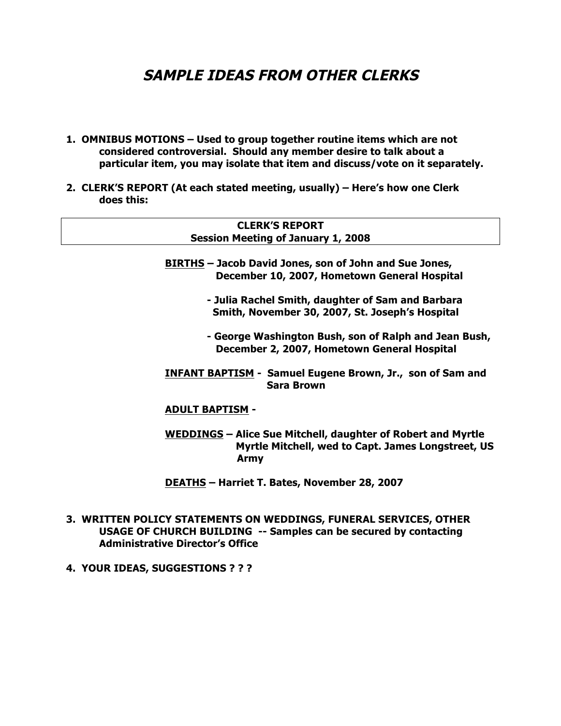# **SAMPLE IDEAS FROM OTHER CLERKS**

- **1. OMNIBUS MOTIONS – Used to group together routine items which are not considered controversial. Should any member desire to talk about a particular item, you may isolate that item and discuss/vote on it separately.**
- **2. CLERK'S REPORT (At each stated meeting, usually) – Here's how one Clerk does this:**

#### **CLERK'S REPORT Session Meeting of January 1, 2008**

- **BIRTHS – Jacob David Jones, son of John and Sue Jones, December 10, 2007, Hometown General Hospital**
	- **- Julia Rachel Smith, daughter of Sam and Barbara Smith, November 30, 2007, St. Joseph's Hospital**
	- **- George Washington Bush, son of Ralph and Jean Bush, December 2, 2007, Hometown General Hospital**
- **INFANT BAPTISM Samuel Eugene Brown, Jr., son of Sam and Sara Brown**

#### **ADULT BAPTISM -**

- **WEDDINGS – Alice Sue Mitchell, daughter of Robert and Myrtle Myrtle Mitchell, wed to Capt. James Longstreet, US Army**
- **DEATHS – Harriet T. Bates, November 28, 2007**
- **3. WRITTEN POLICY STATEMENTS ON WEDDINGS, FUNERAL SERVICES, OTHER USAGE OF CHURCH BUILDING -- Samples can be secured by contacting Administrative Director's Office**
- **4. YOUR IDEAS, SUGGESTIONS ? ? ?**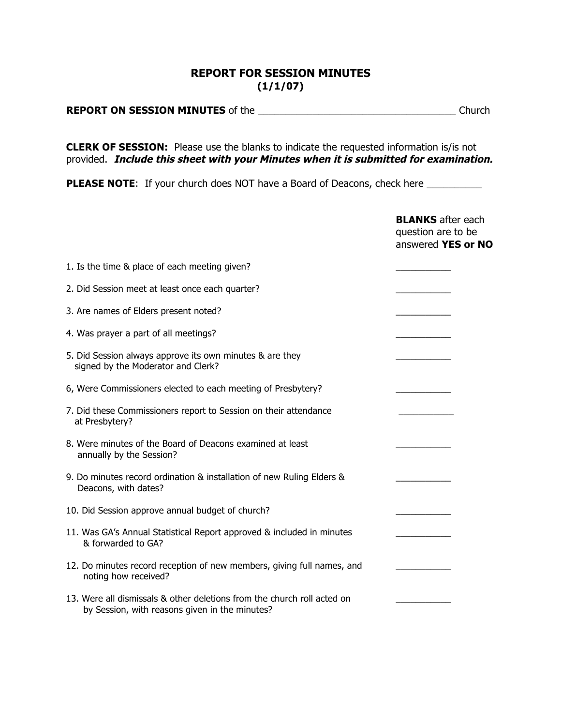## **REPORT FOR SESSION MINUTES (1/1/07)**

| <b>REPORT ON SESSION MINUTES of the</b> | Church |
|-----------------------------------------|--------|
|                                         |        |

**CLERK OF SESSION:** Please use the blanks to indicate the requested information is/is not provided. **Include this sheet with your Minutes when it is submitted for examination.**

**PLEASE NOTE:** If your church does NOT have a Board of Deacons, check here \_\_\_\_\_\_\_\_\_\_

|                                                                                                                           | <b>BLANKS</b> after each<br>question are to be<br>answered YES or NO |
|---------------------------------------------------------------------------------------------------------------------------|----------------------------------------------------------------------|
| 1. Is the time & place of each meeting given?                                                                             |                                                                      |
| 2. Did Session meet at least once each quarter?                                                                           |                                                                      |
| 3. Are names of Elders present noted?                                                                                     |                                                                      |
| 4. Was prayer a part of all meetings?                                                                                     |                                                                      |
| 5. Did Session always approve its own minutes & are they<br>signed by the Moderator and Clerk?                            |                                                                      |
| 6, Were Commissioners elected to each meeting of Presbytery?                                                              |                                                                      |
| 7. Did these Commissioners report to Session on their attendance<br>at Presbytery?                                        |                                                                      |
| 8. Were minutes of the Board of Deacons examined at least<br>annually by the Session?                                     |                                                                      |
| 9. Do minutes record ordination & installation of new Ruling Elders &<br>Deacons, with dates?                             |                                                                      |
| 10. Did Session approve annual budget of church?                                                                          |                                                                      |
| 11. Was GA's Annual Statistical Report approved & included in minutes<br>& forwarded to GA?                               |                                                                      |
| 12. Do minutes record reception of new members, giving full names, and<br>noting how received?                            |                                                                      |
| 13. Were all dismissals & other deletions from the church roll acted on<br>by Session, with reasons given in the minutes? |                                                                      |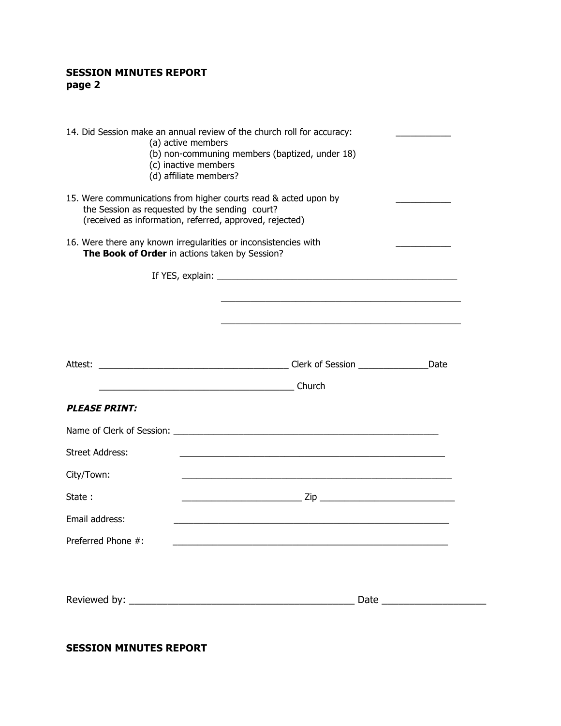## **SESSION MINUTES REPORT page 2**

| 14. Did Session make an annual review of the church roll for accuracy:<br>(a) active members<br>(b) non-communing members (baptized, under 18)<br>(c) inactive members<br>(d) affiliate members? |                                                                                                                                                                              |  |
|--------------------------------------------------------------------------------------------------------------------------------------------------------------------------------------------------|------------------------------------------------------------------------------------------------------------------------------------------------------------------------------|--|
|                                                                                                                                                                                                  | 15. Were communications from higher courts read & acted upon by<br>the Session as requested by the sending court?<br>(received as information, referred, approved, rejected) |  |
|                                                                                                                                                                                                  | 16. Were there any known irregularities or inconsistencies with<br>The Book of Order in actions taken by Session?                                                            |  |
|                                                                                                                                                                                                  |                                                                                                                                                                              |  |
|                                                                                                                                                                                                  |                                                                                                                                                                              |  |
|                                                                                                                                                                                                  |                                                                                                                                                                              |  |
|                                                                                                                                                                                                  |                                                                                                                                                                              |  |
|                                                                                                                                                                                                  |                                                                                                                                                                              |  |
| <b>PLEASE PRINT:</b>                                                                                                                                                                             |                                                                                                                                                                              |  |
|                                                                                                                                                                                                  |                                                                                                                                                                              |  |
| <b>Street Address:</b>                                                                                                                                                                           |                                                                                                                                                                              |  |
| City/Town:                                                                                                                                                                                       |                                                                                                                                                                              |  |
| State:                                                                                                                                                                                           |                                                                                                                                                                              |  |
| Email address:                                                                                                                                                                                   |                                                                                                                                                                              |  |
| Preferred Phone #:                                                                                                                                                                               | <u> 1980 - John Stone, Amerikaansk politiker († 1901)</u>                                                                                                                    |  |
|                                                                                                                                                                                                  |                                                                                                                                                                              |  |

### **SESSION MINUTES REPORT**